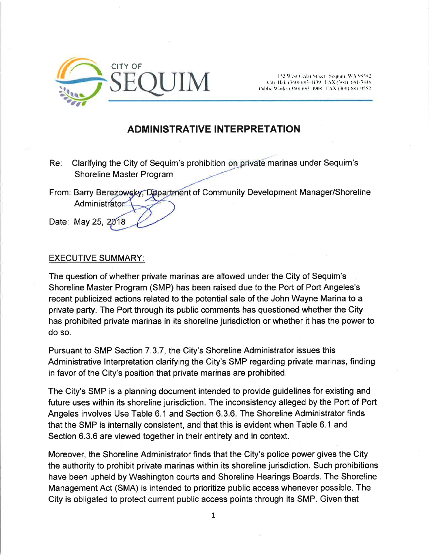

City Hall (360) 683-4139 [FAX (360) 681-3448 Public Works (360) (883-4908) | XX (360) 684-0552

# ADMINISTRATIVE INTERPRETATION

- Re: Clarifying the City of Sequim's prohibition on private marinas under Sequim's Shoreline Master Program
- From: Barry Berezowsky, Department of Community Development Manager/Shoreline **Administrator**
- Date: May 25, 2018

#### EXECUTIVE SUMMARY:

The question of whether private marinas are allowed under the City of Sequim's Shoreline Master Program (SMP) has been raised due to the Port of Port Angeles's recent publicized actions related to the potential sale of the John Wayne Marina to a private party. The Port through its public comments has questioned whether the City has prohibíted private marinas in its shoreline jurisdiction or whether it has the power to do so.

Pursuant to SMP Section 7.3.7, the City's Shoreline Administrator issues this Administrative lnterpretation clarifying the City's SMP regarding private marinas, finding in favor of the City's position that private marinas are prohibited.

The City's SMP is a planning document intended to provide guidelines for existing and future uses within its shoreline jurisdiction. The inconsistency alleged by the Port of Port Angeles involves Use Table 6.1 and Section 6.3.6. The Shoreline Administrator finds that the SMP is internally consistent, and that this is evident when Table 6.1 and Section 6.3.6 are viewed together in their entirety and in context.

Moreover, the Shoreline Administrator finds that the City's police power gives the City the authority to prohibit private marinas within its shoreline jurisdiction. Such prohibitions have been upheld by Washington courts and Shoreline Hearings Boards. The Shoreline Management Act (SMA) is intended to prioritize public access whenever possible. The City is obligated to protect current public access points through its SMP. Given that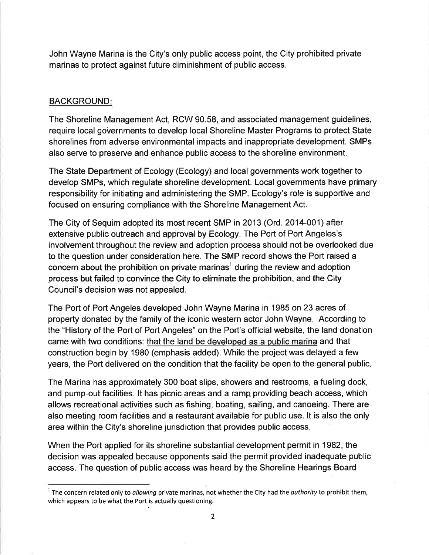John Wayne Marina is the City's only public access point, the City prohibited private marinas to protect against future diminishment of public access.

## **BACKGROUND:**

The Shoreline Management Act, RCW 90.58, and associated management guidelines, require local governments to develop local Shoreline Master Programs to protect State shorelines from adverse environmental impacts and inappropriate development. SMPs also serve to preserve and enhance public access to the shorelíne environment.

The State Department of Ecology (Ecology) and local governments work together to develop SMPs, which regulate shoreline development. Local governments have primary responsibility for initiating and administering the SMP. Ecology's role is supportíve and focused on ensuring compliance with the Shoreline Management Act.

The City of Sequim adopted its most recent SMP in 2013 (Ord. 2014-001) after extensive public outreach and approval by Ecology. The Port of Port Angeles's involvement throughout the review and adoption process should not be overlooked due to the question under consideration here. The SMP record shows the Port raised a concern about the prohibition on private marinas<sup>1</sup> during the review and adoption process but failed to convince the City to eliminate the prohibition, and the City Council's decision was not appealed.

The Port of Port Angeles developed John Wayne Marina in 1985 on 23 acres of property donated by the family of the iconic western actor John Wayne. According to the "History of the Port of Port Angeles" on the Port's official website, the land donation came with two conditions: that the land be developed as a public marina and that construction begin by 1980 (emphasis added). While the project was delayed a few years, the Port delivered on the condition that the facility be open to the general public

The Marina has approximately 300 boat slips, showers and restrooms, a fueling dock, and pump-out facilities. lt has picnic areas and a ramp providing beach access, which allows recreational activities such as fishing, boating, sailing, and canoeing. There are also meeting room facilities and a restaurant available for public use. lt is also the only area within the City's shoreline jurisdiction that provides public access.

When the Port applied for its shoreline substantial development permit in 1982, the decision was appealed because opponents said the permit provided inadequate public access. The question of public access was heard by the Shoreline Hearings Board

 $1$  The concern related only to allowing private marinas, not whether the City had the authority to prohibit them, which appears to be what the Port is actually questioning.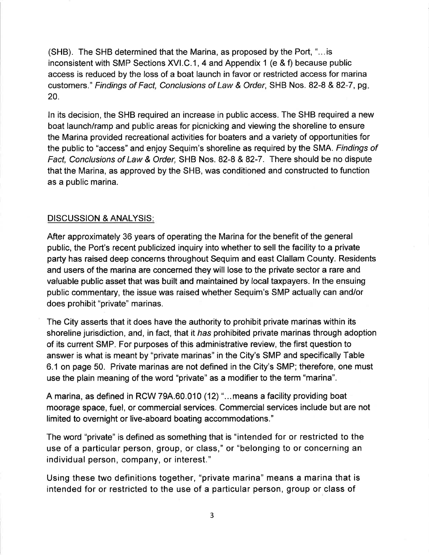(SHB). The SHB determined that the Marina, as proposed by the Port, "... is inconsistent with SMP Sections XVI.C .1, 4 and Appendix 1 (e & f) because public access is reduced by the loss of a boat launch in favor or restricted access for marina customers ." Findings of Fact, Conclusions of Law & Order, SHB Nos. 82-8 & 82-7 , pg 20.

ln its decision, the SHB required an increase in public access. The SHB required a new boat launch/ramp and public areas for picnicking and viewing the shoreline to ensure the Marina provided recreational activities for boaters and a variety of opportunities for the public to "access" and enjoy Sequim's shorelíne as required by the SMA. Findings of Fact, Conclusions of Law & Order, SHB Nos. 82-8 & 82-7. There should be no dispute that the Marina, as approved by the SHB, was conditioned and constructed to function as a public marina.

### DISCUSSION & ANALYSIS

After approximately 36 years of operating the Marina for the benefit of the general public, the Port's recent publicized inquiry into whether to sell the facility to a private party has raised deep concerns throughout Sequim and east Clallam County. Residents and users of the marina are concerned they will lose to the private sector a rare and valuable public asset that was built and maintained by local taxpayers. ln the ensuing public commentary, the issue was raised whether Sequim's SMP actually can and/or does prohibit "private" marinas.

The City asserts that it does have the authority to prohibit private marinas within its shoreline jurisdiction, and, in fact, that it has prohibited private marinas through adoption of its current SMP. For purposes of this administrative review, the first question to answer is what is meant by "private marinas" in the City's SMP and specifically Table 6.1 on page 50. Private marinas are not defined in the City's SMP; therefore, one must use the plain meaning of the word "private" as a modifier to the term "marina".

A marina, as defined in RCW 79A.60.010 (12) "...means a facility providing boat moorage space, fuel, or commercial services. Commercial services include but are not limited to overnight or live-aboard boating accommodations."

The word "private" is defined as something that is "intended for or restricted to the use of a particular person, group, or class," or "belonging to or concerning an individual person, company, or interest."

Using these two definitions together, "private marina" means a marina that is intended for or restricted to the use of a particular person, group or class of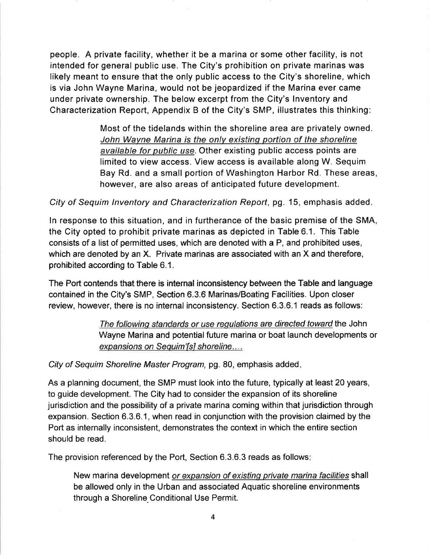people. A private facility, whether it be a marina or some other facility, is not intended for general public use. The City's prohibition on private marinas was likely meant to ensure that the only public access to the City's shoreline, which is via John Wayne Marina, would not be jeopardized if the Marina ever came under private ownership. The below excerpt from the City's lnventory and Characterization Report, Appendix B of the City's SMP, illustrates this thinking:

> Most of the tidelands within the shoreline area are privately owned. John Wayne Marina is the onlv existinq portion of the shoreline available for public use. Other existing public access points are limited to view access. View access is available along W. Sequim Bay Rd. and a small portion of Washington Harbor Rd. These areas, however, are also areas of anticipated future development.

City of Sequim lnventory and Characterization Report, pg. 15, emphasis added.

ln response to this situation, and in furtherance of the basic premise of the SMA, the City opted to prohibit private marinas as depicted in Table 6.1. This Table consists of a list of permitted uses, which are denoted with a P, and prohibited uses, which are denoted by an X. Private marinas are associated with an X and therefore, prohibited according to Table 6.1.

The Port contends that there is internal inconsistency between the Table and language contained in the City's SMP, Section 6.3.6 Marinas/Boating Facílities. Upon closer review, however, there is no internal inconsistency. Section 6.3.6.1 reads as follows:

> The followinq standards or use requlations are directed toward the John Wayne Marina and potential future marina or boat launch developments or expansions on Sequim'[s] shoreline....

City of Sequim Shoreline Master Program, pg. 80, emphasis added

As a planning document, the SMP must look into the future, typically at least 20 years, to guide development. The City had to consider the expansion of its shoreline jurisdiction and the possibility of a private marina coming within that jurisdiction through expansion. Section 6.3.6.1, when read in conjunction with the provision claimed by the Port as internally inconsistent, demonstrates the context in which the entire section should be read.

The provision referenced by the Port, Section 6.3.6.3 reads as follows:

New marina development or expansion of existing private marina facilities shall be allowed only in the Urban and associated Aquatic shoreline environments through a Shoreline.Conditional Use Permit.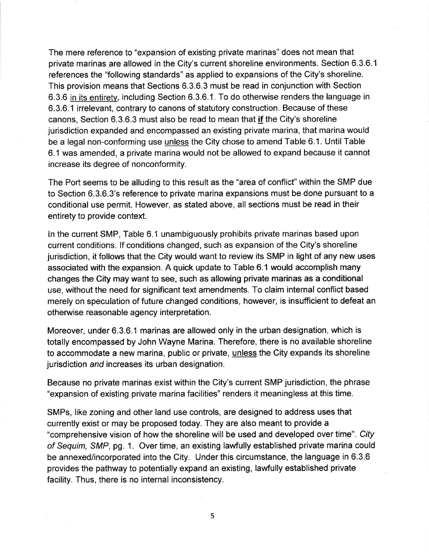The mere reference to "expansion of existing private marinas" does not mean that private marinas are allowed in the City's current shoreline environments. Section 6.3.6.1 references the "following standards" as applied to expansions of the City's shoreline. This provision means that Sections 6.3.6.3 must be read in conjunction with Section 6.3.6 in its entirety, including Section 6.3.6.1. To do otherwise renders the language in 6.3.6.1 irrelevant, contrary to canons of statutory construction. Because of these canons, Section 6.3.6.3 must also be read to mean that if the City's shoreline jurisdiction expanded and encompassed an existing private marina, that marina would be a legal non-conforming use unless the City chose to amend Table 6.1. Until Table 6.1 was amended, a private marina would not be allowed to expand because it cannot increase its degree of nonconformity.

The Port seems to be alluding to this result as the "area of conflict" within the SMP due to Section 6.3.6.3's reference to private marina expansions must be done pursuant to a conditional use permit. However, as stated above, all sections must be read in their entirety to provide context.

ln the current SMP, Table 6.1 unambiguously prohibits private marinas based upon current conditions. lf conditions changed, such as expansion of the City's shoreline jurisdiction, it follows that the City would want to review its SMP in light of any new uses associated with the expansion. A quick update to Table 6.1 would accomplish many changes the City may want to see, such as allowing private marinas as a conditional use, wíthout the need for significant text amendments. To claím internal conflict based merely on speculation of future changed conditions, however, is insufficient to defeat an otherwise reasonable agency interpretation.

Moreover, under 6.3.6.1 marinas are allowed only in the urban designation, which is totally encompassed by John Wayne Marina. Therefore, there is no available shoreline to accommodate a new marina, public or private, unless the City expands its shoreline jurisdiction *and* increases its urban designation.

Because no private marinas exist within the City's current SMP jurisdiction, the phrase "expansion of existing private marina facilities" renders it meaningless at this time.

SMPs, like zoning and other land use controls, are designed to address uses that currently exist or may be proposed today. They are also meant to provide a "comprehensive vision of how the shoreline will be used and developed over time". City of Sequim, SMP, pg. 1. Over time, an existing lawfully established private marina could be annexed/incorporated into the City. Under this circumstance, the language in 6.3.6 provides the pathway to potentially expand an existing, lawfully established private facility. Thus, there is no internal inconsistency.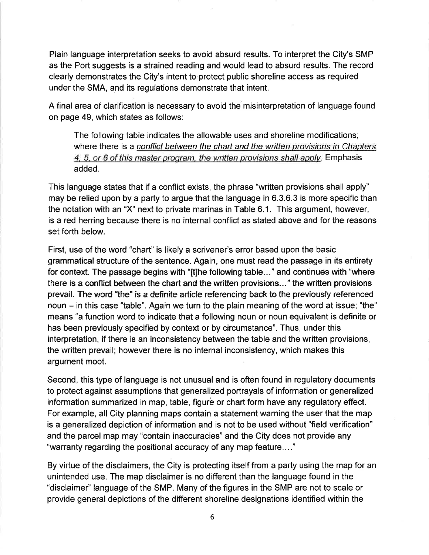Plain language interpretation seeks to avoid absurd results. To interpret the City's SMP as the Port suggests is a strained reading and would lead to absurd results. The record clearly demonstrates the City's intent to protect public shoreline access as required under the SMA, and its regulations demonstrate that intent.

A final area of clarification is necessary to avoid the misinterpretation of language found on page 49, which states as follows:

The following table indicates the allowable uses and shoreline modifications; where there is a conflict between the chart and the written provisions in Chapters 4, 5, or 6 of this master program, the written provisions shall apply. Emphasis added.

This language states that if a conflict exists, the phrase "written provisions shall apply" may be relied upon by a party to argue that the language ín 6.3.6.3 is more specific than the notation with an "X" next to private marinas in Table 6.1. This argument, however, is a red herring because there is no internal conflict as stated above and for the reasons set forth below.

First, use of the word "chart" is likely a scrivener's error based upon the basic grammatical structure of the sentence. Again, one must read the passage in its entirety for context. The passage begins with "[t]he following table..." and continues with "where there is a conflict between the chart and the written provisions..." the written provisions prevail. The word "the" is a definite article referencing back to the previously referenced noun  $-$  in this case "table". Again we turn to the plain meaning of the word at issue; "the" means "a function word to indicate that a following noun or noun equivalent is definite or has been previously specified by context or by circumstance". Thus, under this interpretation, if there is an inconsistency between the table and the written provisions, the written prevail; however there is no internal inconsistency, which makes this argument moot.

Second, this type of language is not unusual and is often found in regulatory documents to protect against assumptions that generalized portrayals of information or generalized information summarized in map, table, figure or chart form have any regulatory effect. For example, all City planning maps contain a statement warning the user that the map is a generalized depiction of information and is not to be used without "field verification" and the parcel map may "contain inaccuracies" and the City does not provide any "warranty regarding the positional accuracy of any map feature...."

By virtue of the disclaimers, the City is protecting itself from a party using the map for an unintended use. The map disclaimer is no different than the language found in the "disclaimer" language of the SMP. Many of the figures in the SMP are not to scale or provide general depictions of the different shoreline designations identified within the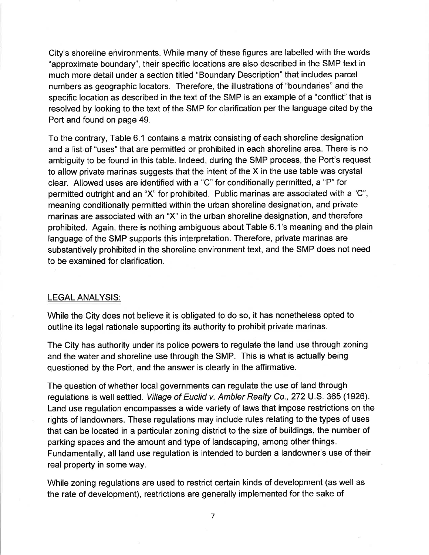City's shoreline environments. While many of these figures are labelled with the words "approximate boundary", their specifíc locations are also described in the SMP text in much more detail under a section titled "Boundary Description" that includes parcel numbers as geographic locators. Therefore, the illustrations of "boundaries" and the specific location as described in the text of the SMP is an example of a "conflict" that is resolved by looking to the text of the SMP for clarification per the language cited by the Port and found on page 49.

To the contrary, Table 6.1 contains a matrix consisting of each shoreline designation and a list of "uses" that are permitted or prohibited in each shoreline area. There is no ambiguity to be found in this table. lndeed, during the SMP process, the Port's request to allow private marinas suggests that the intent of the X in the use table was crystal clear. Allowed uses are identified with a "C" for conditionally permitted, a "P" for permitted outright and an "X" for prohibited. Public marinas are associated with a "C", meaning conditionally permitted within the urban shoreline designation, and private marinas are associated with an "X" in the urban shoreline designation, and therefore prohibited. Again, there is nothing ambiguous about Table 6.1's meaning and the plain language of the SMP supports this interpretation. Therefore, private marinas are substantively prohibited in the shoreline environment text, and the SMP does not need to be examined for clarification.

#### LEGAL ANALYSIS:

While the City does not believe it is obligated to do so, it has nonetheless opted to outline its legal rationale supporting its authority to prohibit private marinas.

The City has authority under its police powers to regulate the land use through zoning and the water and shoreline use through the SMP. This is what is actually being questioned by the Port, and the answer is clearly in the affirmative.

The question of whether local governments can regulate the use of land through regulations is well settled. Village of Euclid v. Ambler Realty Co., 272 U.S. 365 (1926). Land use regulation encompasses a wide variety of laws that impose restrictions on the rights of landowners. These regulations may include rules relating to the types of uses that can be located in a particular zoning district to the size of buildings, the number of parking spaces and the amount and type of landscaping, among other things. Fundamentally, all land use regulation is intended to burden a landowner's use of their real property in some way.

While zoning regulations are used to restrict certain kinds of development (as well as the rate of development), restrictions are generally implemented for the sake of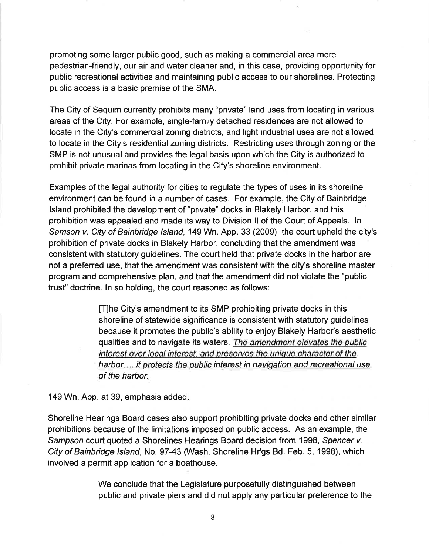promoting some larger public good, such as making a commercial area more pedestrian-friendly, our air and water cleaner and, in this case, providing opportunity for public recreational activities and maintaining public access to our shorelines. Protecting public access is a basic premise of the SMA.

The City of Sequim currently prohibits many "private" land uses from locating in various areas of the City. For example, single-family detached residences are not allowed to locate in the City's commercial zoning districts, and light industrial uses are not allowed to locate in the City's residential zoning districts. Restrictíng uses through zoning or the SMP is not unusual and provides the legal basis upon which the City is authorized to prohibit private marinas from locating in the City's shoreline environment.

Examples of the legal authority for cities to regulate the types of uses in its shoreline environment can be found in a number of cases. For example, the City of Bainbridge lsland prohibited the development of "private" docks in Blakely Harbor, and this prohibition was appealed and made its way to Division ll of the Court of Appeals. ln Samson v. City of Bainbridge Island, 149 Wn. App. 33 (2009) the court upheld the city's prohibitíon of private docks in Blakely Harbor, concluding that the amendment was consistent with statutory guidelines. The court held that private docks in the harbor are not a preferred use, that the amendment was consistent with the city's shoreline master program and comprehensive plan, and that the amendment did not violate the "public trust" doctrine. ln so holding, the court reasoned as follows:

> [T]he City's amendment to its SMP prohibiting private docks in this shoreline of statewide significance is consistent with statutory guidelines because it promotes the public's ability to enjoy Blakely Harbor's aesthetic qualities and to navigate its waters. The amendment elevates the public interest over local interest, and preserves the unique character of the harbor.... it protects the public interest in navigation and recreational use of the harbor.

149 Wn. App. at 39, emphasis added

Shoreline Hearings Board cases also support prohibiting private docks and other similar prohibitions because of the limitations imposed on public access. As an example, the Sampson court quoted a Shorelines Hearings Board decision from 1998, Spencer v. City of Bainbridge lsland, No. 97-43 (Wash. Shoreline Hr'gs Bd. Feb. 5, 1998), which involved a permit application for a boathouse.

> We conclude that the Legislature purposefully distinguished between public and private piers and did not apply any particular preference to the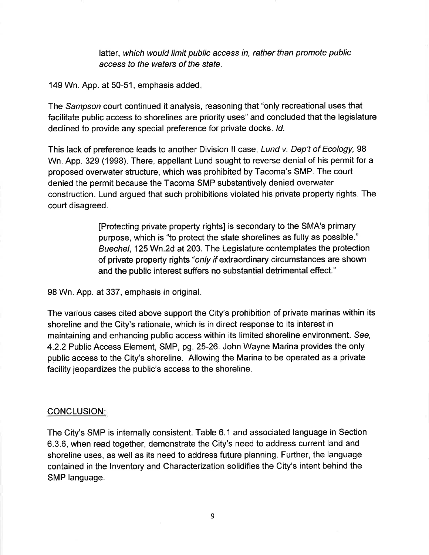latter, which would límit public access in, rather than promote public access to the waters of the sfafe.

149 Wn. App. at 50-51, emphasis added

The Sampson court continued it analysis, reasoning that "only recreational uses that facilitate public access to shorelines are priority uses" and concluded that the legislature declined to provide any special preference for private docks. Id.

This lack of preference leads to another Division II case, Lund v. Dep't of Ecology, 98 Wn. App. 329 (1998). There, appellant Lund sought to reverse denial of his permit for a proposed overuvater structure, which was prohibited by Tacoma's SMP. The court denied the permit because the Tacoma SMP substantively denied overwater construction. Lund argued that such prohíbitions violated his private property rights. The court disagreed.

> [Protecting private property rights] is secondary to the SMA's primary purpose, which is "to protect the state shorelines as fully as possible." Buechel, 125 Wn.2d at 203. The Legislature contemplates the protection of private property rights "only ffextraordinary circumstances are shown and the public interest suffers no substantial detrimental effect."

98 Wn. App. at 337, emphasis in original

The various cases cited above support the City's prohibition of private marinas within its shoreline and the City's rationale, which is in direct response to its interest in maintaining and enhancing public access within its limited shoreline environment. See, 4.2.2 Public Access Element, SMP, pg.25-26. John Wayne Marina provides the only public access to the City's shoreline. Allowing the Marina to be operated as a private facility jeopardizes the public's access to the shoreline.

#### CONCLUSION:

The City's SMP is internally consistent. Table 6.1 and associated language in Section 6.3.6, when read together, demonstrate the City's need to address current land and shoreline uses, as well as its need to address future planning. Further, the language contained in the lnventory and Characterization solidifies the City's intent behind the SMP language.